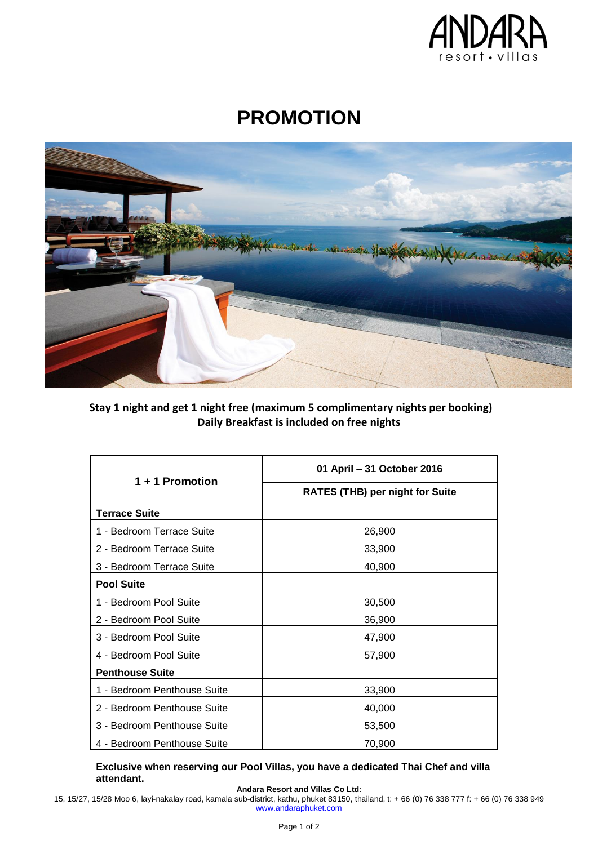

# **PROMOTION**



## **Stay 1 night and get 1 night free (maximum 5 complimentary nights per booking) Daily Breakfast is included on free nights**

| 1 + 1 Promotion             | 01 April - 31 October 2016             |
|-----------------------------|----------------------------------------|
|                             | <b>RATES (THB) per night for Suite</b> |
| <b>Terrace Suite</b>        |                                        |
| 1 - Bedroom Terrace Suite   | 26,900                                 |
| 2 - Bedroom Terrace Suite   | 33,900                                 |
| 3 - Bedroom Terrace Suite   | 40,900                                 |
| <b>Pool Suite</b>           |                                        |
| 1 - Bedroom Pool Suite      | 30,500                                 |
| 2 - Bedroom Pool Suite      | 36,900                                 |
| 3 - Bedroom Pool Suite      | 47,900                                 |
| 4 - Bedroom Pool Suite      | 57,900                                 |
| <b>Penthouse Suite</b>      |                                        |
| 1 - Bedroom Penthouse Suite | 33,900                                 |
| 2 - Bedroom Penthouse Suite | 40,000                                 |
| 3 - Bedroom Penthouse Suite | 53,500                                 |
| 4 - Bedroom Penthouse Suite | 70,900                                 |

### **Exclusive when reserving our Pool Villas, you have a dedicated Thai Chef and villa attendant.**

**Andara Resort and Villas Co Ltd**:

15, 15/27, 15/28 Moo 6, layi-nakalay road, kamala sub-district, kathu, phuket 83150, thailand, t: + 66 (0) 76 338 777 f: + 66 (0) 76 338 949 www.andaraphuket.com